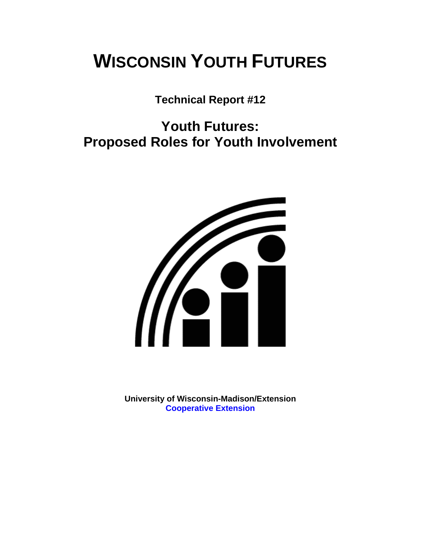# **WISCONSIN YOUTH FUTURES**

**Technical Report #12** 

# **Youth Futures: Proposed Roles for Youth Involvement**



**University of Wisconsin-Madison/Extension [Cooperative Extension](http://www1.uwex.edu/ces/index.cfm)**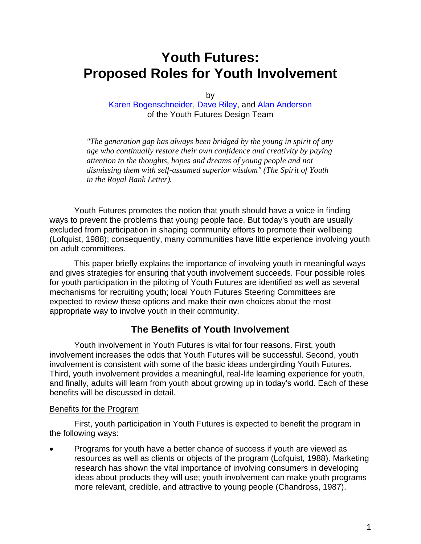# **Youth Futures: Proposed Roles for Youth Involvement**

by

[Karen Bogenschneider](http://www.uwex.edu/ces/flp/specialists/bogensch.html), [Dave Riley,](http://www.uwex.edu/ces/flp/specialists/riley.html) and [Alan Anderson](http://www.uwex.edu/ces/cced/anderson.html) of the Youth Futures Design Team

*"The generation gap has always been bridged by the young in spirit of any age who continually restore their own confidence and creativity by paying attention to the thoughts, hopes and dreams of young people and not dismissing them with self-assumed superior wisdom" (The Spirit of Youth in the Royal Bank Letter).* 

Youth Futures promotes the notion that youth should have a voice in finding ways to prevent the problems that young people face. But today's youth are usually excluded from participation in shaping community efforts to promote their wellbeing (Lofquist, 1988); consequently, many communities have little experience involving youth on adult committees.

This paper briefly explains the importance of involving youth in meaningful ways and gives strategies for ensuring that youth involvement succeeds. Four possible roles for youth participation in the piloting of Youth Futures are identified as well as several mechanisms for recruiting youth; local Youth Futures Steering Committees are expected to review these options and make their own choices about the most appropriate way to involve youth in their community.

#### **The Benefits of Youth Involvement**

Youth involvement in Youth Futures is vital for four reasons. First, youth involvement increases the odds that Youth Futures will be successful. Second, youth involvement is consistent with some of the basic ideas undergirding Youth Futures. Third, youth involvement provides a meaningful, real-life learning experience for youth, and finally, adults will learn from youth about growing up in today's world. Each of these benefits will be discussed in detail.

#### Benefits for the Program

First, youth participation in Youth Futures is expected to benefit the program in the following ways:

• Programs for youth have a better chance of success if youth are viewed as resources as well as clients or objects of the program (Lofquist, 1988). Marketing research has shown the vital importance of involving consumers in developing ideas about products they will use; youth involvement can make youth programs more relevant, credible, and attractive to young people (Chandross, 1987).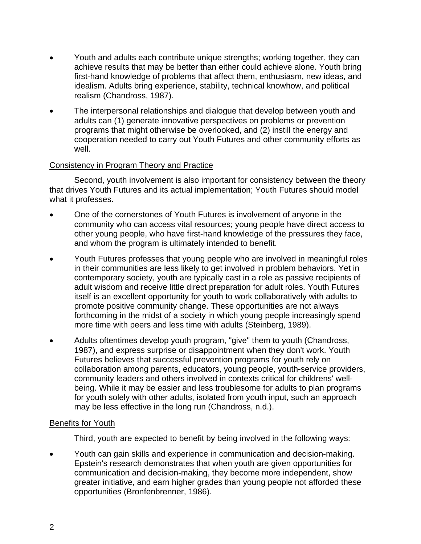- Youth and adults each contribute unique strengths; working together, they can achieve results that may be better than either could achieve alone. Youth bring first-hand knowledge of problems that affect them, enthusiasm, new ideas, and idealism. Adults bring experience, stability, technical knowhow, and political realism (Chandross, 1987).
- The interpersonal relationships and dialogue that develop between youth and adults can (1) generate innovative perspectives on problems or prevention programs that might otherwise be overlooked, and (2) instill the energy and cooperation needed to carry out Youth Futures and other community efforts as well.

#### Consistency in Program Theory and Practice

Second, youth involvement is also important for consistency between the theory that drives Youth Futures and its actual implementation; Youth Futures should model what it professes.

- One of the cornerstones of Youth Futures is involvement of anyone in the community who can access vital resources; young people have direct access to other young people, who have first-hand knowledge of the pressures they face, and whom the program is ultimately intended to benefit.
- Youth Futures professes that young people who are involved in meaningful roles in their communities are less likely to get involved in problem behaviors. Yet in contemporary society, youth are typically cast in a role as passive recipients of adult wisdom and receive little direct preparation for adult roles. Youth Futures itself is an excellent opportunity for youth to work collaboratively with adults to promote positive community change. These opportunities are not always forthcoming in the midst of a society in which young people increasingly spend more time with peers and less time with adults (Steinberg, 1989).
- Adults oftentimes develop youth program, "give" them to youth (Chandross, 1987), and express surprise or disappointment when they don't work. Youth Futures believes that successful prevention programs for youth rely on collaboration among parents, educators, young people, youth-service providers, community leaders and others involved in contexts critical for childrens' wellbeing. While it may be easier and less troublesome for adults to plan programs for youth solely with other adults, isolated from youth input, such an approach may be less effective in the long run (Chandross, n.d.).

#### Benefits for Youth

Third, youth are expected to benefit by being involved in the following ways:

• Youth can gain skills and experience in communication and decision-making. Epstein's research demonstrates that when youth are given opportunities for communication and decision-making, they become more independent, show greater initiative, and earn higher grades than young people not afforded these opportunities (Bronfenbrenner, 1986).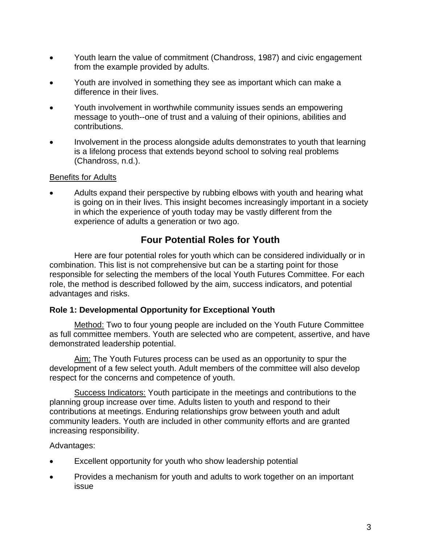- Youth learn the value of commitment (Chandross, 1987) and civic engagement from the example provided by adults.
- Youth are involved in something they see as important which can make a difference in their lives.
- Youth involvement in worthwhile community issues sends an empowering message to youth--one of trust and a valuing of their opinions, abilities and contributions.
- Involvement in the process alongside adults demonstrates to youth that learning is a lifelong process that extends beyond school to solving real problems (Chandross, n.d.).

#### Benefits for Adults

• Adults expand their perspective by rubbing elbows with youth and hearing what is going on in their lives. This insight becomes increasingly important in a society in which the experience of youth today may be vastly different from the experience of adults a generation or two ago.

### **Four Potential Roles for Youth**

Here are four potential roles for youth which can be considered individually or in combination. This list is not comprehensive but can be a starting point for those responsible for selecting the members of the local Youth Futures Committee. For each role, the method is described followed by the aim, success indicators, and potential advantages and risks.

#### **Role 1: Developmental Opportunity for Exceptional Youth**

Method: Two to four young people are included on the Youth Future Committee as full committee members. Youth are selected who are competent, assertive, and have demonstrated leadership potential.

Aim: The Youth Futures process can be used as an opportunity to spur the development of a few select youth. Adult members of the committee will also develop respect for the concerns and competence of youth.

Success Indicators: Youth participate in the meetings and contributions to the planning group increase over time. Adults listen to youth and respond to their contributions at meetings. Enduring relationships grow between youth and adult community leaders. Youth are included in other community efforts and are granted increasing responsibility.

#### Advantages:

- Excellent opportunity for youth who show leadership potential
- Provides a mechanism for youth and adults to work together on an important issue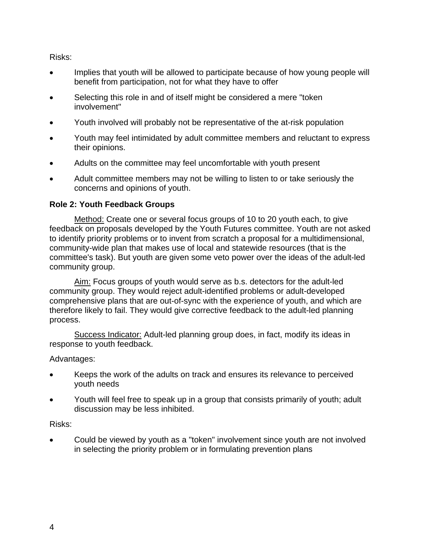Risks:

- Implies that youth will be allowed to participate because of how young people will benefit from participation, not for what they have to offer
- Selecting this role in and of itself might be considered a mere "token" involvement"
- Youth involved will probably not be representative of the at-risk population
- Youth may feel intimidated by adult committee members and reluctant to express their opinions.
- Adults on the committee may feel uncomfortable with youth present
- Adult committee members may not be willing to listen to or take seriously the concerns and opinions of youth.

#### **Role 2: Youth Feedback Groups**

Method: Create one or several focus groups of 10 to 20 youth each, to give feedback on proposals developed by the Youth Futures committee. Youth are not asked to identify priority problems or to invent from scratch a proposal for a multidimensional, community-wide plan that makes use of local and statewide resources (that is the committee's task). But youth are given some veto power over the ideas of the adult-led community group.

Aim: Focus groups of youth would serve as b.s. detectors for the adult-led community group. They would reject adult-identified problems or adult-developed comprehensive plans that are out-of-sync with the experience of youth, and which are therefore likely to fail. They would give corrective feedback to the adult-led planning process.

Success Indicator: Adult-led planning group does, in fact, modify its ideas in response to youth feedback.

Advantages:

- Keeps the work of the adults on track and ensures its relevance to perceived youth needs
- Youth will feel free to speak up in a group that consists primarily of youth; adult discussion may be less inhibited.

#### Risks:

• Could be viewed by youth as a "token" involvement since youth are not involved in selecting the priority problem or in formulating prevention plans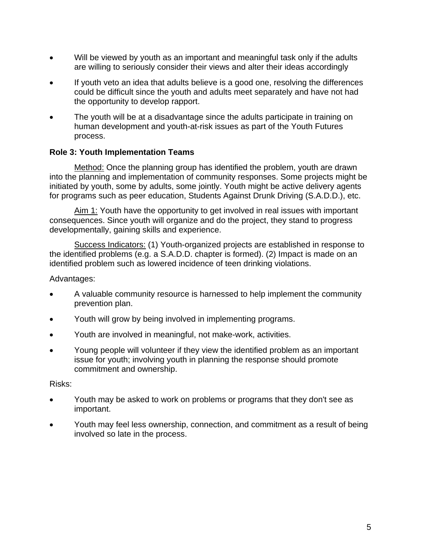- Will be viewed by youth as an important and meaningful task only if the adults are willing to seriously consider their views and alter their ideas accordingly
- If youth veto an idea that adults believe is a good one, resolving the differences could be difficult since the youth and adults meet separately and have not had the opportunity to develop rapport.
- The youth will be at a disadvantage since the adults participate in training on human development and youth-at-risk issues as part of the Youth Futures process.

#### **Role 3: Youth Implementation Teams**

Method: Once the planning group has identified the problem, youth are drawn into the planning and implementation of community responses. Some projects might be initiated by youth, some by adults, some jointly. Youth might be active delivery agents for programs such as peer education, Students Against Drunk Driving (S.A.D.D.), etc.

Aim 1: Youth have the opportunity to get involved in real issues with important consequences. Since youth will organize and do the project, they stand to progress developmentally, gaining skills and experience.

Success Indicators: (1) Youth-organized projects are established in response to the identified problems (e.g. a S.A.D.D. chapter is formed). (2) Impact is made on an identified problem such as lowered incidence of teen drinking violations.

#### Advantages:

- A valuable community resource is harnessed to help implement the community prevention plan.
- Youth will grow by being involved in implementing programs.
- Youth are involved in meaningful, not make-work, activities.
- Young people will volunteer if they view the identified problem as an important issue for youth; involving youth in planning the response should promote commitment and ownership.

#### Risks:

- Youth may be asked to work on problems or programs that they don't see as important.
- Youth may feel less ownership, connection, and commitment as a result of being involved so late in the process.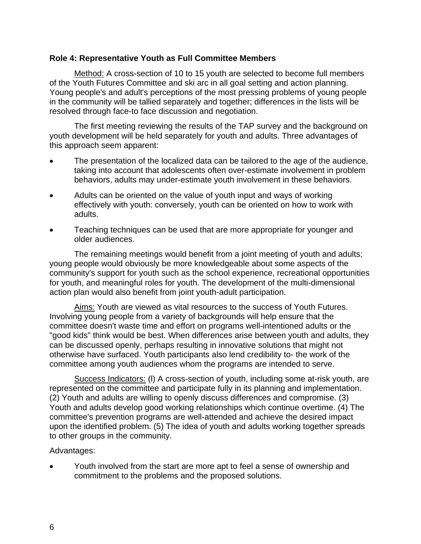#### **Role 4: Representative Youth as Full Committee Members**

Method: A cross-section of 10 to 15 youth are selected to become full members of the Youth Futures Committee and ski arc in all goal setting and action planning. Young people's and adult's perceptions of the most pressing problems of young people in the community will be tallied separately and together; differences in the lists will be resolved through face-to face discussion and negotiation.

The first meeting reviewing the results of the TAP survey and the background on youth development will be held separately for youth and adults. Three advantages of this approach seem apparent:

- The presentation of the localized data can be tailored to the age of the audience, taking into account that adolescents often over-estimate involvement in problem behaviors, adults may under-estimate youth involvement in these behaviors.
- Adults can be oriented on the value of youth input and ways of working effectively with youth: conversely, youth can be oriented on how to work with adults.
- Teaching techniques can be used that are more appropriate for younger and older audiences.

The remaining meetings would benefit from a joint meeting of youth and adults; young people would obviously be more knowledgeable about some aspects of the community's support for youth such as the school experience, recreational opportunities for youth, and meaningful roles for youth. The development of the multi-dimensional action plan would also benefit from joint youth-adult participation.

Aims: Youth are viewed as vital resources to the success of Youth Futures. Involving young people from a variety of backgrounds will help ensure that the committee doesn't waste time and effort on programs well-intentioned adults or the "good kids" think would be best. When differences arise between youth and adults, they can be discussed openly, perhaps resulting in innovative solutions that might not otherwise have surfaced. Youth participants also lend credibility to- the work of the committee among youth audiences whom the programs are intended to serve.

Success Indicators: (I) A cross-section of youth, including some at-risk youth, are represented on the committee and participate fully in its planning and implementation. (2) Youth and adults are willing to openly discuss differences and compromise. (3) Youth and adults develop good working relationships which continue overtime. (4) The committee's prevention programs are well-attended and achieve the desired impact upon the identified problem. (5) The idea of youth and adults working together spreads to other groups in the community.

#### Advantages:

• Youth involved from the start are more apt to feel a sense of ownership and commitment to the problems and the proposed solutions.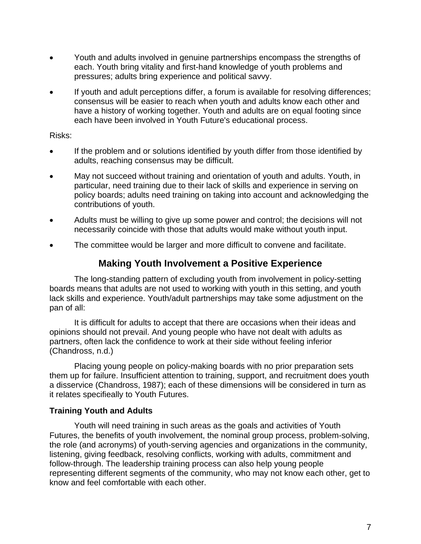- Youth and adults involved in genuine partnerships encompass the strengths of each. Youth bring vitality and first-hand knowledge of youth problems and pressures; adults bring experience and political savvy.
- If youth and adult perceptions differ, a forum is available for resolving differences; consensus will be easier to reach when youth and adults know each other and have a history of working together. Youth and adults are on equal footing since each have been involved in Youth Future's educational process.

#### Risks:

- If the problem and or solutions identified by youth differ from those identified by adults, reaching consensus may be difficult.
- May not succeed without training and orientation of youth and adults. Youth, in particular, need training due to their lack of skills and experience in serving on policy boards; adults need training on taking into account and acknowledging the contributions of youth.
- Adults must be willing to give up some power and control; the decisions will not necessarily coincide with those that adults would make without youth input.
- The committee would be larger and more difficult to convene and facilitate.

### **Making Youth Involvement a Positive Experience**

The long-standing pattern of excluding youth from involvement in policy-setting boards means that adults are not used to working with youth in this setting, and youth lack skills and experience. Youth/adult partnerships may take some adjustment on the pan of all:

It is difficult for adults to accept that there are occasions when their ideas and opinions should not prevail. And young people who have not dealt with adults as partners, often lack the confidence to work at their side without feeling inferior (Chandross, n.d.)

Placing young people on policy-making boards with no prior preparation sets them up for failure. Insufficient attention to training, support, and recruitment does youth a disservice (Chandross, 1987); each of these dimensions will be considered in turn as it relates specifieally to Youth Futures.

#### **Training Youth and Adults**

Youth will need training in such areas as the goals and activities of Youth Futures, the benefits of youth involvement, the nominal group process, problem-solving, the role (and acronyms) of youth-serving agencies and organizations in the community, listening, giving feedback, resolving conflicts, working with adults, commitment and follow-through. The leadership training process can also help young people representing different segments of the community, who may not know each other, get to know and feel comfortable with each other.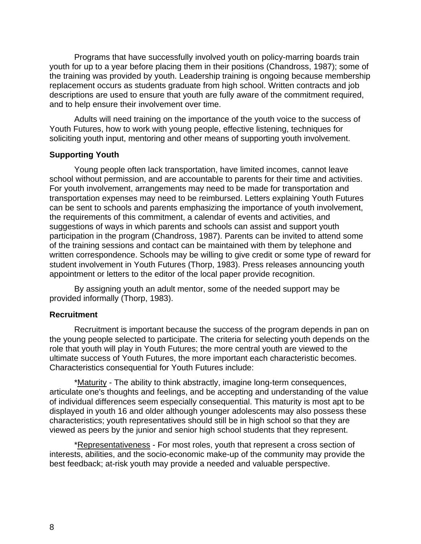Programs that have successfully involved youth on policy-marring boards train youth for up to a year before placing them in their positions (Chandross, 1987); some of the training was provided by youth. Leadership training is ongoing because membership replacement occurs as students graduate from high school. Written contracts and job descriptions are used to ensure that youth are fully aware of the commitment required, and to help ensure their involvement over time.

Adults will need training on the importance of the youth voice to the success of Youth Futures, how to work with young people, effective listening, techniques for soliciting youth input, mentoring and other means of supporting youth involvement.

#### **Supporting Youth**

Young people often lack transportation, have limited incomes, cannot leave school without permission, and are accountable to parents for their time and activities. For youth involvement, arrangements may need to be made for transportation and transportation expenses may need to be reimbursed. Letters explaining Youth Futures can be sent to schools and parents emphasizing the importance of youth involvement, the requirements of this commitment, a calendar of events and activities, and suggestions of ways in which parents and schools can assist and support youth participation in the program (Chandross, 1987). Parents can be invited to attend some of the training sessions and contact can be maintained with them by telephone and written correspondence. Schools may be willing to give credit or some type of reward for student involvement in Youth Futures (Thorp, 1983). Press releases announcing youth appointment or letters to the editor of the local paper provide recognition.

By assigning youth an adult mentor, some of the needed support may be provided informally (Thorp, 1983).

#### **Recruitment**

Recruitment is important because the success of the program depends in pan on the young people selected to participate. The criteria for selecting youth depends on the role that youth will play in Youth Futures; the more central youth are viewed to the ultimate success of Youth Futures, the more important each characteristic becomes. Characteristics consequential for Youth Futures include:

\*Maturity - The ability to think abstractly, imagine long-term consequences, articulate one's thoughts and feelings, and be accepting and understanding of the value of individual differences seem especially consequential. This maturity is most apt to be displayed in youth 16 and older although younger adolescents may also possess these characteristics; youth representatives should still be in high school so that they are viewed as peers by the junior and senior high school students that they represent.

\*Representativeness - For most roles, youth that represent a cross section of interests, abilities, and the socio-economic make-up of the community may provide the best feedback; at-risk youth may provide a needed and valuable perspective.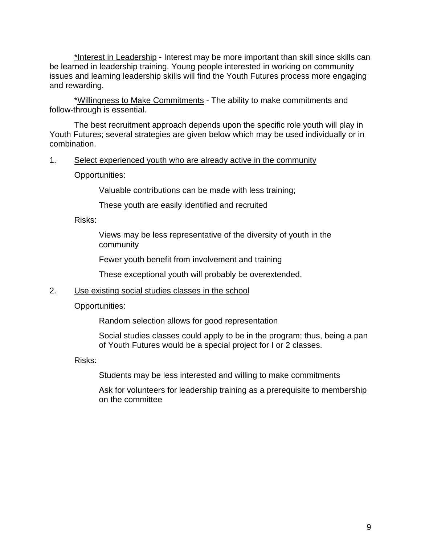\*Interest in Leadership - Interest may be more important than skill since skills can be learned in leadership training. Young people interested in working on community issues and learning leadership skills will find the Youth Futures process more engaging and rewarding.

\*Willingness to Make Commitments - The ability to make commitments and follow-through is essential.

The best recruitment approach depends upon the specific role youth will play in Youth Futures; several strategies are given below which may be used individually or in combination.

#### 1. Select experienced youth who are already active in the community

Opportunities:

Valuable contributions can be made with less training;

These youth are easily identified and recruited

Risks:

Views may be less representative of the diversity of youth in the community

Fewer youth benefit from involvement and training

These exceptional youth will probably be overextended.

#### 2. Use existing social studies classes in the school

Opportunities:

Random selection allows for good representation

Social studies classes could apply to be in the program; thus, being a pan of Youth Futures would be a special project for I or 2 classes.

Risks:

Students may be less interested and willing to make commitments

Ask for volunteers for leadership training as a prerequisite to membership on the committee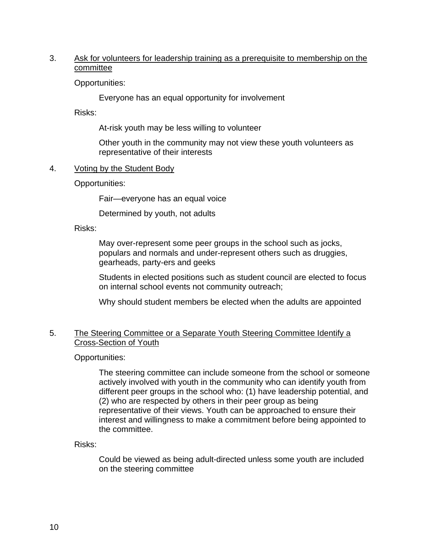#### 3. Ask for volunteers for leadership training as a prerequisite to membership on the committee

Opportunities:

Everyone has an equal opportunity for involvement

Risks:

At-risk youth may be less willing to volunteer

Other youth in the community may not view these youth volunteers as representative of their interests

4. Voting by the Student Body

Opportunities:

Fair—everyone has an equal voice

Determined by youth, not adults

Risks:

May over-represent some peer groups in the school such as jocks, populars and normals and under-represent others such as druggies, gearheads, party-ers and geeks

Students in elected positions such as student council are elected to focus on internal school events not community outreach;

Why should student members be elected when the adults are appointed

#### 5. The Steering Committee or a Separate Youth Steering Committee Identify a Cross-Section of Youth

Opportunities:

The steering committee can include someone from the school or someone actively involved with youth in the community who can identify youth from different peer groups in the school who: (1) have leadership potential, and (2) who are respected by others in their peer group as being representative of their views. Youth can be approached to ensure their interest and willingness to make a commitment before being appointed to the committee.

Risks:

Could be viewed as being adult-directed unless some youth are included on the steering committee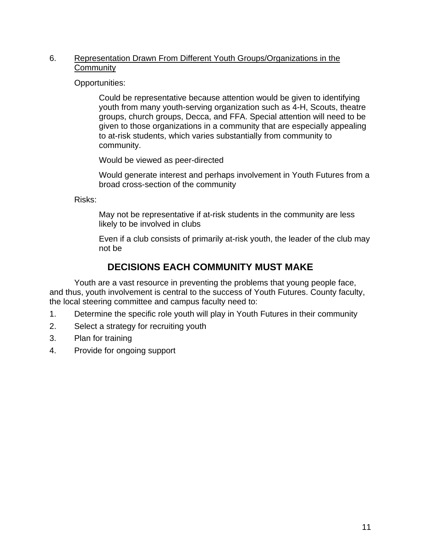#### 6. Representation Drawn From Different Youth Groups/Organizations in the **Community**

Opportunities:

Could be representative because attention would be given to identifying youth from many youth-serving organization such as 4-H, Scouts, theatre groups, church groups, Decca, and FFA. Special attention will need to be given to those organizations in a community that are especially appealing to at-risk students, which varies substantially from community to community.

Would be viewed as peer-directed

Would generate interest and perhaps involvement in Youth Futures from a broad cross-section of the community

Risks:

May not be representative if at-risk students in the community are less likely to be involved in clubs

Even if a club consists of primarily at-risk youth, the leader of the club may not be

## **DECISIONS EACH COMMUNITY MUST MAKE**

Youth are a vast resource in preventing the problems that young people face, and thus, youth involvement is central to the success of Youth Futures. County faculty, the local steering committee and campus faculty need to:

- 1. Determine the specific role youth will play in Youth Futures in their community
- 2. Select a strategy for recruiting youth
- 3. Plan for training
- 4. Provide for ongoing support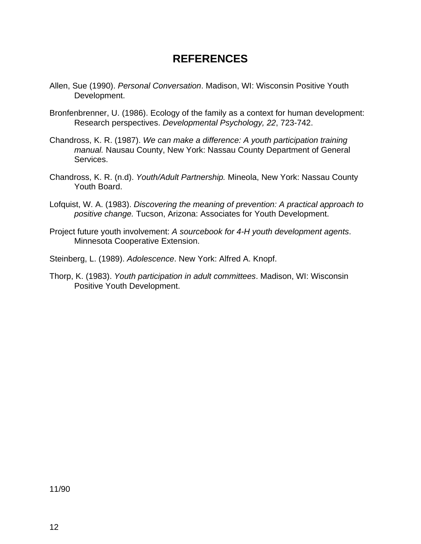# **REFERENCES**

- Allen, Sue (1990). *Personal Conversation*. Madison, WI: Wisconsin Positive Youth Development.
- Bronfenbrenner, U. (1986). Ecology of the family as a context for human development: Research perspectives. *Developmental Psychology, 22*, 723-742.
- Chandross, K. R. (1987). *We can make a difference: A youth participation training manual.* Nausau County, New York: Nassau County Department of General Services.
- Chandross, K. R. (n.d). *Youth/Adult Partnership.* Mineola, New York: Nassau County Youth Board.
- Lofquist, W. A. (1983). *Discovering the meaning of prevention: A practical approach to positive change.* Tucson, Arizona: Associates for Youth Development.
- Project future youth involvement: *A sourcebook for 4-H youth development agents*. Minnesota Cooperative Extension.

Steinberg, L. (1989). *Adolescence*. New York: Alfred A. Knopf.

Thorp, K. (1983). *Youth participation in adult committees*. Madison, WI: Wisconsin Positive Youth Development.

11/90